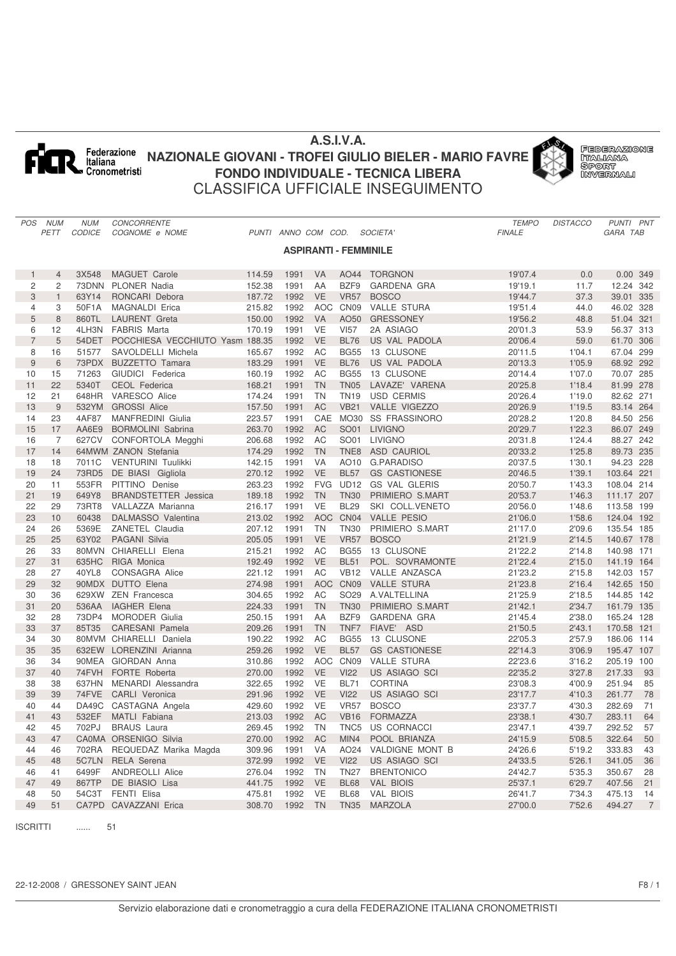

# **A.S.I.V.A. NAZIONALE GIOVANI - TROFEI GIULIO BIELER - MARIO FAVRE FONDO INDIVIDUALE - TECNICA LIBERA** CLASSIFICA UFFICIALE INSEGUIMENTO





|                | POS NUM        | <b>NUM</b>    | CONCORRENTE                     |        |                     |            |                              |                      | <b>TEMPO</b>  | <b>DISTACCO</b> | PUNTI PNT                |  |
|----------------|----------------|---------------|---------------------------------|--------|---------------------|------------|------------------------------|----------------------|---------------|-----------------|--------------------------|--|
|                | PETT           | <b>CODICE</b> | COGNOME e NOME                  |        | PUNTI ANNO COM COD. |            |                              | <b>SOCIETA'</b>      | <b>FINALE</b> |                 | GARA TAB                 |  |
|                |                |               |                                 |        |                     |            | <b>ASPIRANTI - FEMMINILE</b> |                      |               |                 |                          |  |
|                |                |               |                                 |        |                     |            |                              |                      |               |                 |                          |  |
| $\mathbf{1}$   | $\overline{4}$ | 3X548         | <b>MAGUET Carole</b>            | 114.59 | 1991                | <b>VA</b>  |                              | AO44 TORGNON         | 19'07.4       | 0.0             | 0.00 349                 |  |
| 2              | 2              |               | 73DNN PLONER Nadia              | 152.38 | 1991                | AA         | BZF9                         | <b>GARDENA GRA</b>   | 19'19.1       | 11.7            | 12.24 342                |  |
| 3              | $\mathbf{1}$   | 63Y14         | RONCARI Debora                  | 187.72 | 1992                | <b>VE</b>  | <b>VR57</b>                  | <b>BOSCO</b>         | 19'44.7       | 37.3            | 39.01 335                |  |
| 4              | 3              | 50F1A         | <b>MAGNALDI Erica</b>           | 215.82 | 1992                | <b>AOC</b> | CN <sub>09</sub>             | <b>VALLE STURA</b>   | 19'51.4       | 44.0            | 46.02 328                |  |
| 5              | 8              | 860TL         | <b>LAURENT</b> Greta            | 150.00 | 1992                | <b>VA</b>  | AO50                         | <b>GRESSONEY</b>     | 19'56.2       | 48.8            | 51.04 321                |  |
| 6              | 12             | 4LH3N         | <b>FABRIS Marta</b>             | 170.19 | 1991                | <b>VE</b>  | <b>VI57</b>                  | 2A ASIAGO            | 20'01.3       | 53.9            | 56.37 313                |  |
| $\overline{7}$ | 5              | 54DET         | POCCHIESA VECCHIUTO Yasm 188.35 |        | 1992                | <b>VE</b>  | <b>BL76</b>                  | US VAL PADOLA        | 20'06.4       | 59.0            | 61.70 306                |  |
| 8              | 16             | 51577         | SAVOLDELLI Michela              | 165.67 | 1992                | AC         | <b>BG55</b>                  | 13 CLUSONE           | 20'11.5       | 1'04.1          | 67.04 299                |  |
| $\overline{9}$ | 6              |               | 73PDX BUZZETTO Tamara           | 183.29 | 1991                | <b>VE</b>  | <b>BL76</b>                  | US VAL PADOLA        | 20'13.3       | 1'05.9          | 68.92 292                |  |
| 10             | 15             | 71263         | GIUDICI Federica                | 160.19 | 1992                | AC         |                              | BG55 13 CLUSONE      | 20'14.4       | 1'07.0          | 70.07 285                |  |
| 11             | 22             | 5340T         | <b>CEOL Federica</b>            | 168.21 | 1991                | <b>TN</b>  | <b>TN05</b>                  | LAVAZE' VARENA       | 20'25.8       | 1'18.4          | 81.99 278                |  |
| 12             | 21             | 648HR         | VARESCO Alice                   | 174.24 | 1991                | <b>TN</b>  | <b>TN19</b>                  | <b>USD CERMIS</b>    | 20'26.4       | 1'19.0          | 82.62 271                |  |
| 13             | 9              |               | 532YM GROSSI Alice              | 157.50 | 1991                | AC         | <b>VB21</b>                  | VALLE VIGEZZO        | 20'26.9       | 1'19.5          | 83.14 264                |  |
| 14             | 23             | 4AF87         | <b>MANFREDINI</b> Giulia        | 223.57 | 1991                | CAE        |                              | MO30 SS FRASSINORO   | 20'28.2       | 1'20.8          | 84.50 256                |  |
| 15             | 17             | AA6E9         | <b>BORMOLINI Sabrina</b>        | 263.70 | 1992                | <b>AC</b>  |                              | SO01 LIVIGNO         | 20'29.7       | 1'22.3          | 86.07 249                |  |
| 16             | 7              |               | 627CV CONFORTOLA Megghi         | 206.68 | 1992                | AC         |                              | SO01 LIVIGNO         | 20'31.8       | 1'24.4          | 88.27 242                |  |
| 17             | 14             |               | 64MWM ZANON Stefania            | 174.29 | 1992                | <b>TN</b>  |                              | TNE8 ASD CAURIOL     | 20'33.2       | 1'25.8          | 89.73 235                |  |
| 18             | 18             | 7011C         | VENTURINI Tuulikki              | 142.15 | 1991                | <b>VA</b>  |                              | AO10 G.PARADISO      | 20'37.5       | 1'30.1          | 94.23 228                |  |
| 19             | 24             | 73RD5         | DE BIASI Gigliola               | 270.12 | 1992                | <b>VE</b>  | <b>BL57</b>                  | <b>GS CASTIONESE</b> | 20'46.5       | 1'39.1          | 103.64 221               |  |
| 20             | 11             | 553FR         | PITTINO Denise                  | 263.23 | 1992                | <b>FVG</b> | <b>UD12</b>                  | <b>GS VAL GLERIS</b> | 20'50.7       | 1'43.3          | 108.04 214               |  |
| 21             | 19             | 649Y8         | <b>BRANDSTETTER</b> Jessica     | 189.18 | 1992                | <b>TN</b>  | <b>TN30</b>                  | PRIMIERO S.MART      | 20'53.7       | 1'46.3          | 111.17 207               |  |
| 22             | 29             | 73RT8         | VALLAZZA Marianna               | 216.17 | 1991                | <b>VE</b>  | <b>BL29</b>                  | SKI COLL.VENETO      | 20'56.0       | 1'48.6          | 113.58 199               |  |
| 23             | 10             | 60438         | DALMASSO Valentina              | 213.02 | 1992                | <b>AOC</b> |                              | CN04 VALLE PESIO     | 21'06.0       | 1'58.6          | 124.04 192               |  |
| 24             | 26             | 5369E         | ZANETEL Claudia                 | 207.12 | 1991                | <b>TN</b>  | <b>TN30</b>                  | PRIMIERO S.MART      | 21'17.0       | 2'09.6          | 135.54 185               |  |
| 25             | 25             | 63Y02         | <b>PAGANI Silvia</b>            | 205.05 | 1991                | <b>VE</b>  |                              | VR57 BOSCO           | 21'21.9       | 2'14.5          | 140.67 178               |  |
| 26             | 33             |               | 80MVN CHIARELLI Elena           | 215.21 | 1992                | AC         |                              | BG55 13 CLUSONE      | 21'22.2       | 2'14.8          | 140.98 171               |  |
| 27             | 31             | 635HC         | RIGA Monica                     | 192.49 | 1992                | <b>VE</b>  | <b>BL51</b>                  | POL. SOVRAMONTE      | 21'22.4       | 2'15.0          | 141.19 164               |  |
| 28             | 27             | 40YL8         | CONSAGRA Alice                  | 221.12 | 1991                | AC         | <b>VB12</b>                  | VALLE ANZASCA        | 21'23.2       | 2'15.8          | 142.03 157               |  |
| 29             | 32             |               | 90MDX DUTTO Elena               | 274.98 | 1991                | AOC        |                              | CN09 VALLE STURA     | 21'23.8       | 2'16.4          | 142.65 150               |  |
| 30             | 36             |               | 629XW ZEN Francesca             | 304.65 | 1992                | AC         |                              | SO29 A.VALTELLINA    | 21'25.9       | 2'18.5          | 144.85 142               |  |
| 31             | 20             | 536AA         | <b>IAGHER Elena</b>             | 224.33 | 1991                | <b>TN</b>  | <b>TN30</b>                  | PRIMIERO S.MART      | 21'42.1       | 2'34.7          | 161.79 135               |  |
| 32             | 28             | 73DP4         | <b>MORODER Giulia</b>           | 250.15 | 1991                | AA         | BZF9                         | GARDENA GRA          | 21'45.4       | 2'38.0          | 165.24 128               |  |
| 33             | 37             | 85T35         | <b>CARESANI</b> Pamela          | 209.26 | 1991                | <b>TN</b>  | TNF7                         | FIAVE' ASD           | 21'50.5       | 2'43.1          | 170.58 121               |  |
| 34             | 30             |               | 80MVM CHIARELLI Daniela         | 190.22 | 1992                | AC         |                              | BG55 13 CLUSONE      | 22'05.3       | 2'57.9          | 186.06 114               |  |
| 35             | 35             |               | 632EW LORENZINI Arianna         | 259.26 | 1992                | <b>VE</b>  | <b>BL57</b>                  | <b>GS CASTIONESE</b> | 22'14.3       | 3'06.9          | 195.47 107               |  |
| 36             | 34             |               | 90MEA GIORDAN Anna              | 310.86 | 1992                | <b>AOC</b> | CN <sub>09</sub>             | <b>VALLE STURA</b>   | 22'23.6       | 3'16.2          | 205.19 100               |  |
| 37             | 40             |               | 74FVH FORTE Roberta             | 270.00 | 1992                | <b>VE</b>  | <b>VI22</b>                  | US ASIAGO SCI        | 22'35.2       | 3'27.8          | 217.33<br>93             |  |
| 38             | 38             | 637HN         | <b>MENARDI</b> Alessandra       | 322.65 | 1992                | <b>VE</b>  | <b>BL71</b>                  | <b>CORTINA</b>       | 23'08.3       | 4'00.9          | 251.94<br>85             |  |
| 39             | 39             | 74FVE         | <b>CARLI</b> Veronica           | 291.96 | 1992                | <b>VE</b>  | <b>VI22</b>                  | <b>US ASIAGO SCI</b> | 23'17.7       | 4'10.3          | 261.77<br>78             |  |
| 40             | 44             |               | DA49C CASTAGNA Angela           | 429.60 | 1992                | <b>VE</b>  | <b>VR57</b>                  | <b>BOSCO</b>         | 23'37.7       | 4'30.3          | 282.69<br>71             |  |
| 41             | 43             |               | 532EF MATLI Fabiana             |        | 213.03 1992 AC      |            |                              | VB16 FORMAZZA        | 23'38.1       | 4'30.7          | 283.11 64                |  |
| 42             | 45             | 702PJ         | <b>BRAUS</b> Laura              | 269.45 | 1992                | TN         |                              | TNC5 US CORNACCI     | 23'47.1       | 4'39.7          | 292.52<br>57             |  |
| 43             | 47             |               | CA0MA ORSENIGO Silvia           | 270.00 | 1992                | AC         | MIN4                         | POOL BRIANZA         | 24'15.9       | 5'08.5          | 322.64<br>50             |  |
| 44             | 46             |               | 702RA REQUEDAZ Marika Magda     | 309.96 | 1991                | VA         |                              | AO24 VALDIGNE MONT B | 24'26.6       | 5'19.2          | 333.83<br>43             |  |
| 45             | 48             |               | 5C7LN RELA Serena               | 372.99 | 1992                | <b>VE</b>  | <b>VI22</b>                  | US ASIAGO SCI        | 24'33.5       | 5'26.1          | 341.05<br>36             |  |
| 46             | 41             | 6499F         | <b>ANDREOLLI Alice</b>          | 276.04 | 1992                | TN         |                              | TN27 BRENTONICO      | 24'42.7       | 5'35.3          | 350.67<br>28             |  |
| 47             | 49             | 867TP         | DE BIASIO Lisa                  | 441.75 | 1992                | <b>VE</b>  | <b>BL68</b>                  | <b>VAL BIOIS</b>     | 25'37.1       | 6'29.7          | 407.56<br>21             |  |
| 48             | 50             |               | 54C3T FENTI Elisa               | 475.81 | 1992                | VE         | <b>BL68</b>                  | <b>VAL BIOIS</b>     | 26'41.7       | 7'34.3          | 475.13<br>14             |  |
| 49             | 51             |               | CA7PD CAVAZZANI Erica           | 308.70 | 1992                | <b>TN</b>  |                              | TN35 MARZOLA         | 27'00.0       | 7'52.6          | 494.27<br>$\overline{7}$ |  |
|                |                |               |                                 |        |                     |            |                              |                      |               |                 |                          |  |

ISCRITTI ...... 51

22-12-2008 / GRESSONEY SAINT JEAN F8 / 1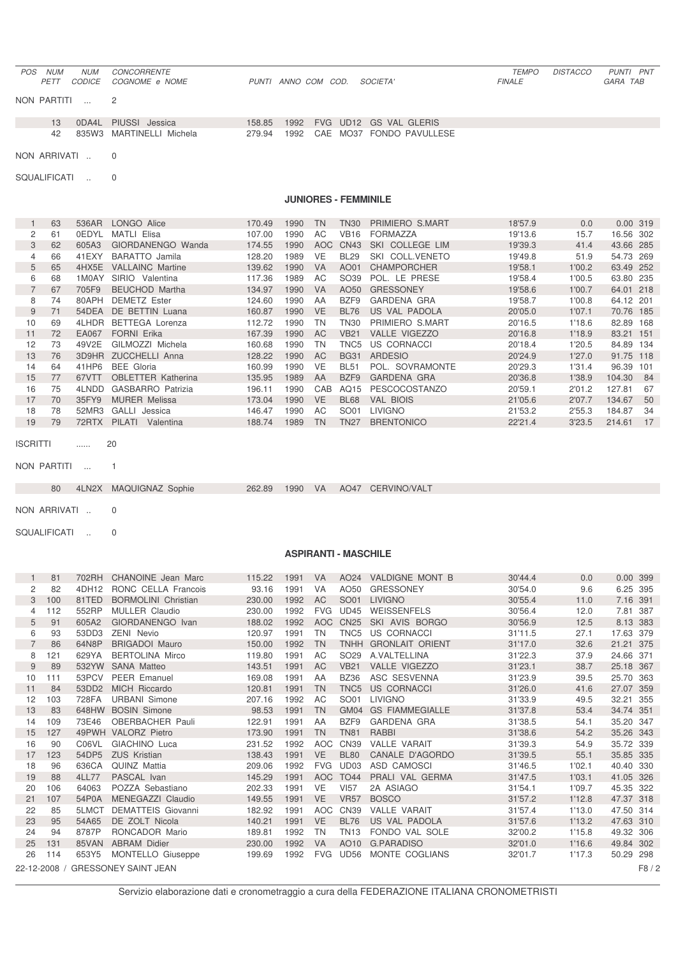#### *POS NUM NUM CONCORRENTE TEMPO DISTACCO PUNTI PNT PETT CODICE COGNOME e NOME PUNTI ANNO COM COD. SOCIETA' FINALE GARA TAB*

NON PARTITI ... 2

|  | 13 ODA4L PIUSSI Jessica  |  |  | 158.85 1992 FVG UD12 GS VAL GLERIS   |
|--|--------------------------|--|--|--------------------------------------|
|  | 835W3 MARTINELLI Michela |  |  | 279.94 1992 CAE MO37 FONDO PAVULLESE |

NON ARRIVATI .. 0

SQUALIFICATI .. 0

### **JUNIORES - FEMMINILE**

|    | 63 | 536AR | LONGO Alice               | 170.49 | 1990 | <b>TN</b>  | TN30        | PRIMIERO S.MART           | 18'57.9 | 0.0    | 0.00 319  |     |
|----|----|-------|---------------------------|--------|------|------------|-------------|---------------------------|---------|--------|-----------|-----|
| 2  | 61 | 0EDYL | <b>MATLI Elisa</b>        | 107.00 | 1990 | AC         | <b>VB16</b> | <b>FORMAZZA</b>           | 19'13.6 | 15.7   | 16.56 302 |     |
| 3  | 62 | 605A3 | GIORDANENGO Wanda         | 174.55 | 1990 | <b>AOC</b> | <b>CN43</b> | COLLEGE LIM<br><b>SKI</b> | 19'39.3 | 41.4   | 43.66 285 |     |
| 4  | 66 | 41EXY | <b>BARATTO</b> Jamila     | 128.20 | 1989 | VE         | <b>BL29</b> | COLL.VENETO<br>SKI        | 19'49.8 | 51.9   | 54.73 269 |     |
| 5  | 65 | 4HX5E | <b>VALLAINC Martine</b>   | 139.62 | 1990 | <b>VA</b>  | AO01        | <b>CHAMPORCHER</b>        | 19'58.1 | 1'00.2 | 63.49 252 |     |
| 6  | 68 | 1M0AY | SIRIO Valentina           | 117.36 | 1989 | AC         | SO39        | POL. LE PRESE             | 19'58.4 | 1'00.5 | 63.80 235 |     |
|    | 67 | 705F9 | <b>BEUCHOD Martha</b>     | 134.97 | 1990 | <b>VA</b>  | AO50        | <b>GRESSONEY</b>          | 19'58.6 | 1'00.7 | 64.01 218 |     |
| 8  | 74 | 80APH | <b>DEMETZ Ester</b>       | 124.60 | 1990 | AA         | BZF9        | GARDENA GRA               | 19'58.7 | 1'00.8 | 64.12 201 |     |
| 9  | 71 | 54DEA | DE BETTIN Luana           | 160.87 | 1990 | <b>VE</b>  | <b>BL76</b> | US VAL PADOLA             | 20'05.0 | 1'07.1 | 70.76 185 |     |
| 10 | 69 | 4LHDR | <b>BETTEGA Lorenza</b>    | 112.72 | 1990 | TN         | <b>TN30</b> | PRIMIERO S.MART           | 20'16.5 | 1'18.6 | 82.89 168 |     |
| 11 | 72 | EA067 | <b>FORNI Erika</b>        | 167.39 | 1990 | <b>AC</b>  | <b>VB21</b> | <b>VALLE VIGEZZO</b>      | 20'16.8 | 1'18.9 | 83.21 151 |     |
| 12 | 73 | 49V2E | GILMOZZI Michela          | 160.68 | 1990 | TN         | TNC5        | US CORNACCI               | 20'18.4 | 1'20.5 | 84.89     | 134 |
| 13 | 76 | 3D9HR | <b>ZUCCHELLI Anna</b>     | 128.22 | 1990 | AC.        | <b>BG31</b> | <b>ARDESIO</b>            | 20'24.9 | 1'27.0 | 91.75 118 |     |
| 14 | 64 | 41HP6 | <b>BEE</b> Gloria         | 160.99 | 1990 | VE         | <b>BL51</b> | POL. SOVRAMONTE           | 20'29.3 | 1'31.4 | 96.39     | 101 |
| 15 | 77 | 67VTT | <b>OBLETTER Katherina</b> | 135.95 | 1989 | AA         | BZF9        | <b>GARDENA GRA</b>        | 20'36.8 | 1'38.9 | 104.30    | 84  |
| 16 | 75 | 4LNDD | GASBARRO Patrizia         | 196.11 | 1990 | CAB        | AQ15        | <b>PESCOCOSTANZO</b>      | 20'59.1 | 2'01.2 | 127.81    | 67  |
| 17 | 70 | 35FY9 | <b>MURER</b> Melissa      | 173.04 | 1990 | <b>VE</b>  | <b>BL68</b> | <b>VAL BIOIS</b>          | 21'05.6 | 2'07.7 | 134.67    | 50  |
| 18 | 78 | 52MR3 | GALLI<br>Jessica          | 146.47 | 1990 | AC         | SO01        | LIVIGNO                   | 21'53.2 | 2'55.3 | 184.87    | 34  |
| 19 | 79 | 72RTX | PILATI<br>Valentina       | 188.74 | 1989 | TN         | <b>TN27</b> | <b>BRENTONICO</b>         | 22'21.4 | 3'23.5 | 214.61    | 17  |

ISCRITTI ...... 20

NON PARTITI ... 1

4LN2X MAQUIGNAZ Sophie 262.89 1990 VA AO47 CERVINO/VALT

NON ARRIVATI .. 0

SQUALIFICATI .. 0

#### **ASPIRANTI - MASCHILE**

|                | 81  | 702RH | CHANOINE Jean Marc                | 115.22 | 1991 | <b>VA</b>  | AO24             | VALDIGNE MONT B      | 30'44.4 | 0.0    | 0.00 399  |      |
|----------------|-----|-------|-----------------------------------|--------|------|------------|------------------|----------------------|---------|--------|-----------|------|
| 2              | 82  | 4DH12 | RONC CELLA Francois               | 93.16  | 1991 | VA         | AO50             | <b>GRESSONEY</b>     | 30'54.0 | 9.6    | 6.25 395  |      |
| 3              | 100 | 81TED | <b>BORMOLINI</b> Christian        | 230.00 | 1992 | <b>AC</b>  | SO01             | <b>LIVIGNO</b>       | 30'55.4 | 11.0   | 7.16 391  |      |
| 4              | 112 | 552RP | <b>MULLER Claudio</b>             | 230.00 | 1992 | <b>FVG</b> | UD45             | WEISSENFELS          | 30'56.4 | 12.0   | 7.81 387  |      |
| 5              | 91  | 605A2 | GIORDANENGO Ivan                  | 188.02 | 1992 | <b>AOC</b> | <b>CN25</b>      | SKI AVIS BORGO       | 30'56.9 | 12.5   | 8.13 383  |      |
| 6              | 93  | 53DD3 | <b>ZENI Nevio</b>                 | 120.97 | 1991 | <b>TN</b>  | TNC <sub>5</sub> | US CORNACCI          | 31'11.5 | 27.1   | 17.63 379 |      |
| $\overline{7}$ | 86  | 64N8P | <b>BRIGADOI Mauro</b>             | 150.00 | 1992 | <b>TN</b>  |                  | TNHH GRONLAIT ORIENT | 31'17.0 | 32.6   | 21.21 375 |      |
| 8              | 121 | 629YA | <b>BERTOLINA Mirco</b>            | 119.80 | 1991 | AC         | SO <sub>29</sub> | A.VALTELLINA         | 31'22.3 | 37.9   | 24.66 371 |      |
| 9              | 89  | 532YW | <b>SANA Matteo</b>                | 143.51 | 1991 | AC         | <b>VB21</b>      | <b>VALLE VIGEZZO</b> | 31'23.1 | 38.7   | 25.18 367 |      |
| 10             | 111 | 53PCV | PEER Emanuel                      | 169.08 | 1991 | AA         | <b>BZ36</b>      | ASC SESVENNA         | 31'23.9 | 39.5   | 25.70 363 |      |
| 11             | 84  | 53DD2 | <b>MICH Riccardo</b>              | 120.81 | 1991 | <b>TN</b>  | TNC <sub>5</sub> | US CORNACCI          | 31'26.0 | 41.6   | 27.07 359 |      |
| 12             | 103 | 728FA | <b>URBANI Simone</b>              | 207.16 | 1992 | AC         | SO01             | <b>LIVIGNO</b>       | 31'33.9 | 49.5   | 32.21 355 |      |
| 13             | 83  | 648HW | <b>BOSIN Simone</b>               | 98.53  | 1991 | <b>TN</b>  |                  | GM04 GS FIAMMEGIALLE | 31'37.8 | 53.4   | 34.74 351 |      |
| 14             | 109 | 73E46 | OBERBACHER Pauli                  | 122.91 | 1991 | AA         | BZF9             | <b>GARDENA GRA</b>   | 31'38.5 | 54.1   | 35.20 347 |      |
| 15             | 127 |       | 49PWH VALORZ Pietro               | 173.90 | 1991 | <b>TN</b>  | <b>TN81</b>      | <b>RABBI</b>         | 31'38.6 | 54.2   | 35.26 343 |      |
| 16             | 90  | C06VL | <b>GIACHINO Luca</b>              | 231.52 | 1992 | <b>AOC</b> | <b>CN39</b>      | <b>VALLE VARAIT</b>  | 31'39.3 | 54.9   | 35.72 339 |      |
| 17             | 123 | 54DP5 | <b>ZUS Kristian</b>               | 138.43 | 1991 | <b>VE</b>  | <b>BL80</b>      | CANALE D'AGORDO      | 31'39.5 | 55.1   | 35.85 335 |      |
| 18             | 96  | 636CA | <b>QUINZ Mattia</b>               | 209.06 | 1992 | <b>FVG</b> | UD <sub>03</sub> | ASD CAMOSCI          | 31'46.5 | 1'02.1 | 40.40 330 |      |
| 19             | 88  | 4LL77 | PASCAL Ivan                       | 145.29 | 1991 | <b>AOC</b> | <b>TO44</b>      | PRALI VAL GERMA      | 31'47.5 | 1'03.1 | 41.05 326 |      |
| 20             | 106 | 64063 | POZZA Sebastiano                  | 202.33 | 1991 | <b>VE</b>  | <b>VI57</b>      | 2A ASIAGO            | 31'54.1 | 1'09.7 | 45.35 322 |      |
| 21             | 107 | 54P0A | MENEGAZZI Claudio                 | 149.55 | 1991 | <b>VE</b>  | <b>VR57</b>      | <b>BOSCO</b>         | 31'57.2 | 1'12.8 | 47.37 318 |      |
| 22             | 85  | 5LMCT | <b>DEMATTEIS Giovanni</b>         | 182.92 | 1991 | <b>AOC</b> | <b>CN39</b>      | <b>VALLE VARAIT</b>  | 31'57.4 | 1'13.0 | 47.50 314 |      |
| 23             | 95  | 54A65 | DE ZOLT Nicola                    | 140.21 | 1991 | <b>VE</b>  | <b>BL76</b>      | US VAL PADOLA        | 31'57.6 | 1'13.2 | 47.63 310 |      |
| 24             | 94  | 8787P | RONCADOR Mario                    | 189.81 | 1992 | <b>TN</b>  | <b>TN13</b>      | FONDO VAL SOLE       | 32'00.2 | 1'15.8 | 49.32 306 |      |
| 25             | 131 | 85VAN | <b>ABRAM Didier</b>               | 230.00 | 1992 | <b>VA</b>  | AO10             | <b>G.PARADISO</b>    | 32'01.0 | 1'16.6 | 49.84 302 |      |
| 26             | 114 | 653Y5 | MONTELLO Giuseppe                 | 199.69 | 1992 | <b>FVG</b> | <b>UD56</b>      | MONTE COGLIANS       | 32'01.7 | 1'17.3 | 50.29     | 298  |
|                |     |       | 22-12-2008 / GRESSONEY SAINT JEAN |        |      |            |                  |                      |         |        |           | F8/2 |
|                |     |       |                                   |        |      |            |                  |                      |         |        |           |      |

Servizio elaborazione dati e cronometraggio a cura della FEDERAZIONE ITALIANA CRONOMETRISTI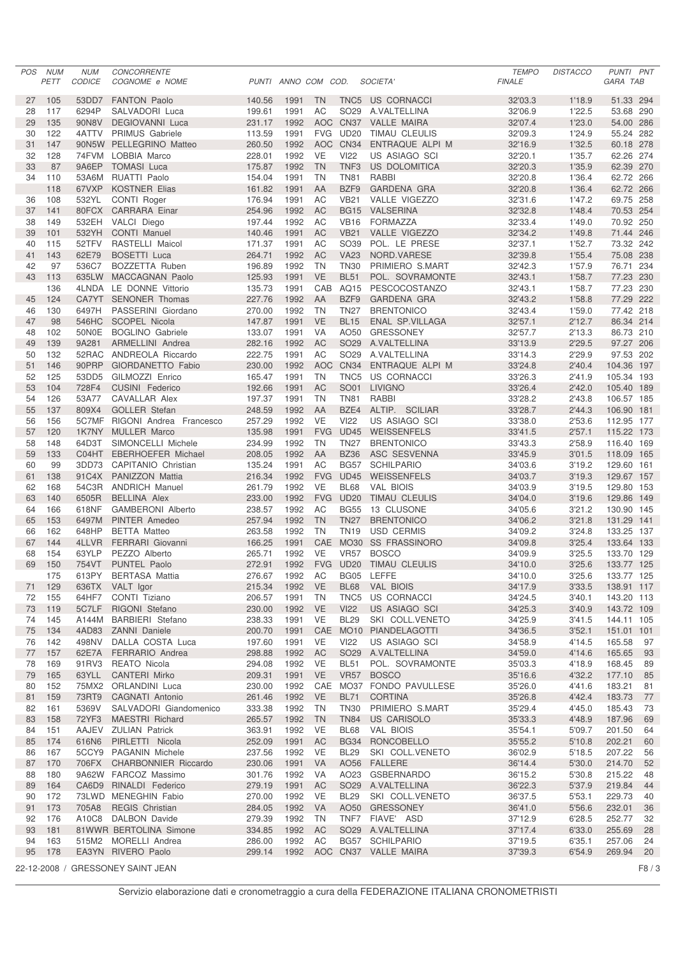| <b>POS</b> | <b>NUM</b><br><b>PETT</b> | <b>NUM</b><br><b>CODICE</b> | CONCORRENTE<br>COGNOME e NOME                      |                  | PUNTI ANNO COM COD. |                 |                                      | SOCIETA'                                    | <b>TEMPO</b><br><b>FINALE</b> | <b>DISTACCO</b>  | PUNTI PNT<br>GARA TAB    |          |
|------------|---------------------------|-----------------------------|----------------------------------------------------|------------------|---------------------|-----------------|--------------------------------------|---------------------------------------------|-------------------------------|------------------|--------------------------|----------|
| 27         | 105                       | 53DD7                       | <b>FANTON Paolo</b>                                | 140.56           | 1991                | <b>TN</b>       | TNC <sub>5</sub>                     | US CORNACCI                                 | 32'03.3                       | 1'18.9           | 51.33 294                |          |
| 28         | 117                       | 6294P                       | SALVADORI Luca                                     | 199.61           | 1991                | AC              | SO <sub>29</sub>                     | A.VALTELLINA                                | 32'06.9                       | 1'22.5           | 53.68 290                |          |
| 29         | 135                       | 90N8V                       | <b>DEGIOVANNI Luca</b>                             | 231.17           | 1992                |                 | AOC CN37                             | <b>VALLE MAIRA</b>                          | 32'07.4                       | 1'23.0           | 54.00 286                |          |
| 30         | 122                       | 4ATTV                       | <b>PRIMUS Gabriele</b>                             | 113.59           | 1991                |                 | FVG UD20                             | TIMAU CLEULIS                               | 32'09.3                       | 1'24.9           | 55.24 282                |          |
| 31         | 147                       |                             | 90N5W PELLEGRINO Matteo                            | 260.50           | 1992                | <b>AOC</b>      | <b>CN34</b>                          | ENTRAQUE ALPI M                             | 32'16.9                       | 1'32.5           | 60.18 278                |          |
| 32<br>33   | 128<br>87                 |                             | 74FVM LOBBIA Marco<br>9A6EP TOMASI Luca            | 228.01<br>175.87 | 1992<br>1992        | VE<br><b>TN</b> | <b>VI22</b><br>TNF <sub>3</sub>      | US ASIAGO SCI<br>US DOLOMITICA              | 32'20.1<br>32'20.3            | 1'35.7<br>1'35.9 | 62.26 274<br>62.39 270   |          |
| 34         | 110                       | 53A6M                       | <b>RUATTI Paolo</b>                                | 154.04           | 1991                | <b>TN</b>       | <b>TN81</b>                          | <b>RABBI</b>                                | 32'20.8                       | 1'36.4           | 62.72 266                |          |
|            | 118                       | 67VXP                       | <b>KOSTNER Elias</b>                               | 161.82           | 1991                | AA              | BZF9                                 | <b>GARDENA GRA</b>                          | 32'20.8                       | 1'36.4           | 62.72 266                |          |
| 36         | 108                       | 532YL                       | CONTI Roger                                        | 176.94           | 1991                | AC              | <b>VB21</b>                          | VALLE VIGEZZO                               | 32'31.6                       | 1'47.2           | 69.75 258                |          |
| 37         | 141                       |                             | 80FCX CARRARA Einar                                | 254.96           | 1992                | <b>AC</b>       | <b>BG15</b>                          | <b>VALSERINA</b>                            | 32'32.8                       | 1'48.4           | 70.53 254                |          |
| 38         | 149                       |                             | 532EH VALCI Diego                                  | 197.44           | 1992                | AC              | <b>VB16</b>                          | <b>FORMAZZA</b>                             | 32'33.4                       | 1'49.0           | 70.92 250                |          |
| 39         | 101                       | 532YH                       | <b>CONTI Manuel</b>                                | 140.46           | 1991                | <b>AC</b>       | <b>VB21</b>                          | VALLE VIGEZZO                               | 32'34.2                       | 1'49.8           | 71.44 246                |          |
| 40<br>41   | 115<br>143                | 52TFV<br>62E79              | RASTELLI Maicol<br><b>BOSETTI</b> Luca             | 171.37<br>264.71 | 1991<br>1992        | AC<br><b>AC</b> | SO39<br><b>VA23</b>                  | POL. LE PRESE<br>NORD.VARESE                | 32'37.1<br>32'39.8            | 1'52.7<br>1'55.4 | 73.32 242<br>75.08 238   |          |
| 42         | 97                        | 536C7                       | BOZZETTA Ruben                                     | 196.89           | 1992                | <b>TN</b>       | <b>TN30</b>                          | PRIMIERO S.MART                             | 32'42.3                       | 1'57.9           | 76.71 234                |          |
| 43         | 113                       |                             | 635LW MACCAGNAN Paolo                              | 125.93           | 1991                | <b>VE</b>       | <b>BL51</b>                          | POL. SOVRAMONTE                             | 32'43.1                       | 1'58.7           | 77.23 230                |          |
|            | 136                       |                             | 4LNDA LE DONNE Vittorio                            | 135.73           | 1991                | CAB             | AQ15                                 | PESCOCOSTANZO                               | 32'43.1                       | 1'58.7           | 77.23 230                |          |
| 45         | 124                       |                             | CA7YT SENONER Thomas                               | 227.76           | 1992                | AA              | BZF9                                 | <b>GARDENA GRA</b>                          | 32'43.2                       | 1'58.8           | 77.29 222                |          |
| 46         | 130                       | 6497H                       | PASSERINI Giordano                                 | 270.00           | 1992                | <b>TN</b>       | <b>TN27</b>                          | <b>BRENTONICO</b>                           | 32'43.4                       | 1'59.0           | 77.42 218                |          |
| 47         | 98                        | 546HC                       | SCOPEL Nicola                                      | 147.87           | 1991                | <b>VE</b>       | <b>BL15</b>                          | <b>ENAL SP.VILLAGA</b>                      | 32'57.1                       | 2'12.7           | 86.34 214                |          |
| 48<br>49   | 102                       | 50N0E                       | <b>BOGLINO</b> Gabriele                            | 133.07           | 1991                | VA<br><b>AC</b> | AO50                                 | <b>GRESSONEY</b>                            | 32'57.7                       | 2'13.3           | 86.73 210                |          |
| 50         | 139<br>132                | 9A281                       | <b>ARMELLINI</b> Andrea<br>52RAC ANDREOLA Riccardo | 282.16<br>222.75 | 1992<br>1991        | AC              | SO <sub>29</sub><br>SO <sub>29</sub> | A.VALTELLINA<br>A.VALTELLINA                | 33'13.9<br>33'14.3            | 2'29.5<br>2'29.9 | 97.27 206<br>97.53 202   |          |
| 51         | 146                       | 90PRP                       | <b>GIORDANETTO Fabio</b>                           | 230.00           | 1992                | <b>AOC</b>      | CN <sub>34</sub>                     | ENTRAQUE ALPI M                             | 33'24.8                       | 2'40.4           | 104.36 197               |          |
| 52         | 125                       | 53DD5                       | GILMOZZI Enrico                                    | 165.47           | 1991                | <b>TN</b>       | TNC5                                 | US CORNACCI                                 | 33'26.3                       | 2'41.9           | 105.34 193               |          |
| 53         | 104                       | 728F4                       | CUSINI Federico                                    | 192.66           | 1991                | <b>AC</b>       | SO01                                 | <b>LIVIGNO</b>                              | 33'26.4                       | 2'42.0           | 105.40 189               |          |
| 54         | 126                       | 53A77                       | CAVALLAR Alex                                      | 197.37           | 1991                | <b>TN</b>       | <b>TN81</b>                          | <b>RABBI</b>                                | 33'28.2                       | 2'43.8           | 106.57 185               |          |
| 55         | 137                       | 809X4                       | <b>GOLLER Stefan</b>                               | 248.59           | 1992                | AA              | BZE4                                 | ALTIP. SCILIAR                              | 33'28.7                       | 2'44.3           | 106.90 181               |          |
| 56         | 156                       |                             | 5C7MF RIGONI Andrea Francesco                      | 257.29           | 1992                | <b>VE</b>       | <b>VI22</b>                          | US ASIAGO SCI                               | 33'38.0                       | 2'53.6           | 112.95 177               |          |
| 57         | 120                       |                             | 1K7NY MULLER Marco                                 | 135.98           | 1991                | <b>FVG</b>      | <b>UD45</b>                          | <b>WEISSENFELS</b>                          | 33'41.5                       | 2'57.1           | 115.22 173               |          |
| 58<br>59   | 148<br>133                | 64D3T                       | SIMONCELLI Michele<br>C04HT EBERHOEFER Michael     | 234.99<br>208.05 | 1992<br>1992        | <b>TN</b><br>AA | <b>TN27</b><br><b>BZ36</b>           | <b>BRENTONICO</b><br>ASC SESVENNA           | 33'43.3<br>33'45.9            | 2'58.9<br>3'01.5 | 116.40 169<br>118.09 165 |          |
| 60         | 99                        | 3DD73                       | <b>CAPITANIO Christian</b>                         | 135.24           | 1991                | AC              | <b>BG57</b>                          | <b>SCHILPARIO</b>                           | 34'03.6                       | 3'19.2           | 129.60 161               |          |
| 61         | 138                       |                             | 91C4X PANIZZON Mattia                              | 216.34           | 1992                | <b>FVG</b>      | <b>UD45</b>                          | WEISSENFELS                                 | 34'03.7                       | 3'19.3           | 129.67 157               |          |
| 62         | 168                       |                             | 54C3R ANDRICH Manuel                               | 261.79           | 1992                | <b>VE</b>       | <b>BL68</b>                          | <b>VAL BIOIS</b>                            | 34'03.9                       | 3'19.5           | 129.80 153               |          |
| 63         | 140                       | 6505R                       | <b>BELLINA Alex</b>                                | 233.00           | 1992                | <b>FVG</b>      | <b>UD20</b>                          | <b>TIMAU CLEULIS</b>                        | 34'04.0                       | 3'19.6           | 129.86 149               |          |
| 64         | 166                       | 618NF                       | <b>GAMBERONI</b> Alberto                           | 238.57           | 1992                | AC              | <b>BG55</b>                          | 13 CLUSONE                                  | 34'05.6                       | 3'21.2           | 130.90 145               |          |
| 65         | 153                       | 6497M                       | PINTER Amedeo                                      | 257.94           | 1992                | <b>TN</b>       | <b>TN27</b>                          | <b>BRENTONICO</b>                           | 34'06.2                       | 3'21.8           | 131.29 141               |          |
| 66<br>67   | 162<br>144                | 648HP<br>4LLVR              | <b>BETTA Matteo</b><br><b>FERRARI</b> Giovanni     | 263.58<br>166.25 | 1992<br>1991        | <b>TN</b>       | <b>TN19</b>                          | <b>USD CERMIS</b><br>CAE MO30 SS FRASSINORO | 34'09.2<br>34'09.8            | 3'24.8<br>3'25.4 | 133.25 137<br>133.64 133 |          |
| 68         | 154                       | 63YLP                       | PEZZO Alberto                                      | 265.71           | 1992                | VE              | <b>VR57</b>                          | <b>BOSCO</b>                                | 34'09.9                       | 3'25.5           | 133.70 129               |          |
| 69         | 150                       |                             | 754VT PUNTEL Paolo                                 | 272.91           | 1992                |                 |                                      | FVG UD20 TIMAU CLEULIS                      | 34'10.0                       | 3'25.6           | 133.77 125               |          |
|            | 175                       |                             | 613PY BERTASA Mattia                               | 276.67           | 1992                | AC              | BG05                                 | LEFFE                                       | 34'10.0                       | 3'25.6           | 133.77 125               |          |
| 71         | 129                       |                             | 636TX VALT Igor                                    | 215.34           | 1992                | <b>VE</b>       | <b>BL68</b>                          | <b>VAL BIOIS</b>                            | 34'17.9                       | 3'33.5           | 138.91 117               |          |
| 72         | 155                       | 64HF7                       | CONTI Tiziano                                      | 206.57           | 1991                | TN              | TNC <sub>5</sub>                     | US CORNACCI                                 | 34'24.5                       | 3'40.1           | 143.20 113               |          |
| 73         | 119                       |                             | 5C7LF RIGONI Stefano                               | 230.00           | 1992                | <b>VE</b>       | <b>VI22</b>                          | US ASIAGO SCI                               | 34'25.3                       | 3'40.9           | 143.72 109               |          |
| 74         | 145                       | A144M<br>4AD83              | <b>BARBIERI</b> Stefano                            | 238.33           | 1991                | VE              | <b>BL29</b>                          | SKI COLL.VENETO                             | 34'25.9                       | 3'41.5           | 144.11 105               |          |
| 75<br>76   | 134<br>142                |                             | <b>ZANNI Daniele</b><br>498NV DALLA COSTA Luca     | 200.70<br>197.60 | 1991<br>1991        | VE              | <b>VI22</b>                          | CAE MO10 PIANDELAGOTTI<br>US ASIAGO SCI     | 34'36.5<br>34'58.9            | 3'52.1<br>4'14.5 | 151.01 101<br>165.58     | 97       |
| 77         | 157                       |                             | 62E7A FERRARIO Andrea                              | 298.88           | 1992                | AC              | SO <sub>29</sub>                     | A.VALTELLINA                                | 34'59.0                       | 4'14.6           | 165.65                   | 93       |
| 78         | 169                       | 91RV3                       | REATO Nicola                                       | 294.08           | 1992                | VE              | <b>BL51</b>                          | POL. SOVRAMONTE                             | 35'03.3                       | 4'18.9           | 168.45                   | 89       |
| 79         | 165                       | 63YLL                       | <b>CANTERI Mirko</b>                               | 209.31           | 1991                | VE              | <b>VR57</b>                          | <b>BOSCO</b>                                | 35'16.6                       | 4'32.2           | 177.10                   | 85       |
| 80         | 152                       |                             | 75MX2 ORLANDINI Luca                               | 230.00           | 1992                |                 |                                      | CAE MO37 FONDO PAVULLESE                    | 35'26.0                       | 4'41.6           | 183.21                   | 81       |
| 81         | 159                       | 73RT9                       | CAGNATI Antonio                                    | 261.46           | 1992                | VE              | <b>BL71</b>                          | <b>CORTINA</b>                              | 35'26.8                       | 4'42.4           | 183.73                   | 77       |
| 82         | 161                       | 5369V                       | SALVADORI Giandomenico<br><b>MAESTRI Richard</b>   | 333.38           | 1992                | TN              | <b>TN30</b>                          | PRIMIERO S.MART<br><b>US CARISOLO</b>       | 35'29.4                       | 4'45.0           | 185.43                   | 73       |
| 83<br>84   | 158<br>151                | 72YF3                       | AAJEV ZULIAN Patrick                               | 265.57<br>363.91 | 1992<br>1992        | <b>TN</b><br>VE | <b>TN84</b><br><b>BL68</b>           | <b>VAL BIOIS</b>                            | 35'33.3<br>35'54.1            | 4'48.9<br>5'09.7 | 187.96<br>201.50         | 69<br>64 |
| 85         | 174                       | 616N6                       | PIRLETTI Nicola                                    | 252.09           | 1991                | AC              | <b>BG34</b>                          | RONCOBELLO                                  | 35'55.2                       | 5'10.8           | 202.21                   | 60       |
| 86         | 167                       |                             | 5CCY9 PAGANIN Michele                              | 237.56           | 1992                | VE              | <b>BL29</b>                          | SKI COLL.VENETO                             | 36'02.9                       | 5'18.5           | 207.22                   | 56       |
| 87         | 170                       |                             | 706FX CHARBONNIER Riccardo                         | 230.06           | 1991                | <b>VA</b>       | AO56                                 | FALLERE                                     | 36'14.4                       | 5'30.0           | 214.70                   | 52       |
| 88         | 180                       |                             | 9A62W FARCOZ Massimo                               | 301.76           | 1992                | VA              | AO23                                 | <b>GSBERNARDO</b>                           | 36'15.2                       | 5'30.8           | 215.22                   | 48       |
| 89         | 164                       |                             | CA6D9 RINALDI Federico                             | 279.19           | 1991                | AC              | SO <sub>29</sub>                     | A.VALTELLINA                                | 36'22.3                       | 5'37.9           | 219.84                   | 44       |
| 90         | 172                       |                             | 73LWD MENEGHIN Fabio                               | 270.00           | 1992                | VE              | <b>BL29</b>                          | SKI COLL.VENETO                             | 36'37.5                       | 5'53.1           | 229.73                   | 40       |
| 91<br>92   | 173<br>176                | 705A8                       | <b>REGIS Christian</b><br>A10C8 DALBON Davide      | 284.05<br>279.39 | 1992<br>1992        | <b>VA</b><br>TN | AO50<br>TNF7                         | <b>GRESSONEY</b><br>FIAVE' ASD              | 36'41.0<br>37'12.9            | 5'56.6<br>6'28.5 | 232.01<br>252.77         | 36<br>32 |
| 93         | 181                       |                             | 81WWR BERTOLINA Simone                             | 334.85           | 1992                | AC              | SO <sub>29</sub>                     | A.VALTELLINA                                | 37'17.4                       | 6'33.0           | 255.69                   | 28       |
| 94         | 163                       |                             | 515M2 MORELLI Andrea                               | 286.00           | 1992                | AC              |                                      | BG57 SCHILPARIO                             | 37'19.5                       | 6'35.1           | 257.06                   | 24       |
| 95         | 178                       |                             | EA3YN RIVERO Paolo                                 | 299.14           | 1992                |                 |                                      | AOC CN37 VALLE MAIRA                        | 37'39.3                       | 6'54.9           | 269.94                   | 20       |
|            |                           |                             | 22-12-2008 / GRESSONEY SAINT JEAN                  |                  |                     |                 |                                      |                                             |                               |                  |                          | F8 / 3   |

Servizio elaborazione dati e cronometraggio a cura della FEDERAZIONE ITALIANA CRONOMETRISTI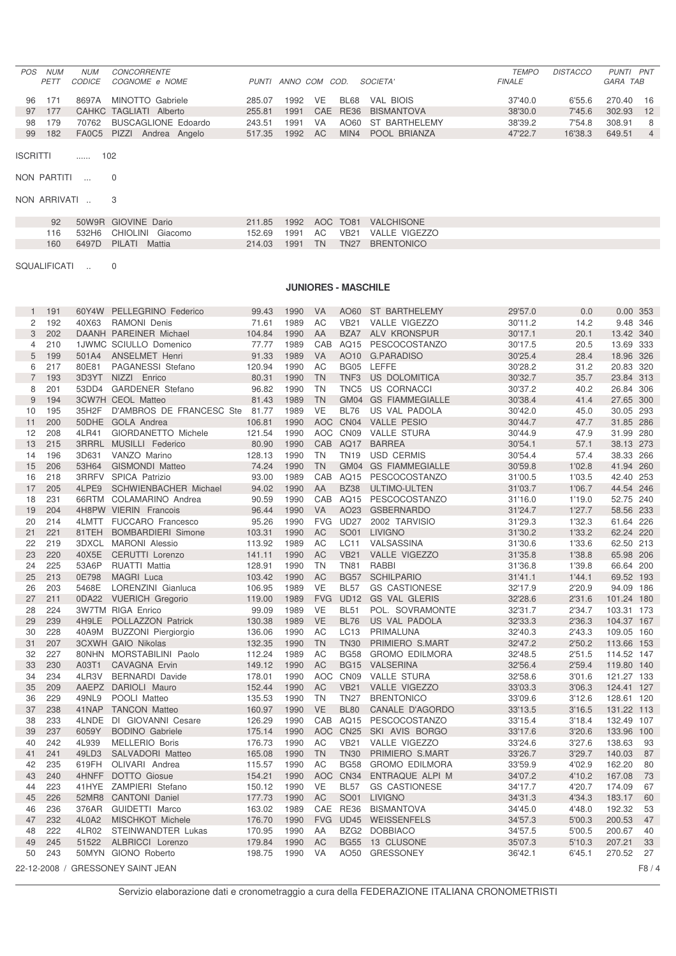| <b>NUM</b> | NUM           | <b>CONCORRENTE</b> |                                                                                                                 |      |           |  | <b>TEMPO</b>                                                                                                     | <b>DISTACCO</b> | PUNTI PNT |                |
|------------|---------------|--------------------|-----------------------------------------------------------------------------------------------------------------|------|-----------|--|------------------------------------------------------------------------------------------------------------------|-----------------|-----------|----------------|
| PFTT       | <i>CODICE</i> |                    |                                                                                                                 |      |           |  | <b>FINALE</b>                                                                                                    |                 | GARA TAB  |                |
|            |               |                    |                                                                                                                 |      |           |  |                                                                                                                  |                 |           |                |
| 96 171     |               |                    | 285.07                                                                                                          | 1992 | VE        |  | 37'40.0                                                                                                          | 6'55.6          | 270.40    | - 16           |
| 97 177     |               |                    | 255.81                                                                                                          | 1991 |           |  | 38'30.0                                                                                                          | 7'45.6          | 302.93    | 12             |
| 98 179     | 70762         |                    | 243.51                                                                                                          | 1991 | <b>VA</b> |  | 38'39.2                                                                                                          | 7'54.8          | 308.91    | 8              |
| 182        |               | Andrea Angelo      | 517.35                                                                                                          | 1992 | AC.       |  | 47'22.7                                                                                                          | 16'38.3         | 649.51    | 4 <sup>1</sup> |
|            |               |                    | <i>COGNOME</i> e NOME<br>8697A MINOTTO Gabriele<br>CAHKC TAGLIATI Alberto<br>BUSCAGLIONE Edoardo<br>FA0C5 PIZZI |      |           |  | PUNTI ANNO COM COD. SOCIETA'<br>BL68 VAL BIOIS<br>CAE RE36 BISMANTOVA<br>AO60 ST BARTHELEMY<br>MIN4 POOL BRIANZA |                 |           |                |

ISCRITTI ...... 102

NON PARTITI ... 0

NON ARRIVATI .. 3

| 92  | 50W9R GIOVINE Dario    | 211.85 1992 AOC TO81 VALCHISONE |                                   |
|-----|------------------------|---------------------------------|-----------------------------------|
| 116 | 532H6 CHIOLINI Giacomo |                                 | 152.69 1991 AC VB21 VALLE VIGEZZO |
| 160 | 6497D PILATI Mattia    | 214.03                          | 1991 TN TN27 BRENTONICO           |

SQUALIFICATI .. 0

## **JUNIORES - MASCHILE**

| 1              | 191 |       | 60Y4W PELLEGRINO Federico         | 99.43  | 1990         | VA         | AO60             | <b>ST BARTHELEMY</b>  | 29'57.0 | 0.0    | 0.00 353   |      |
|----------------|-----|-------|-----------------------------------|--------|--------------|------------|------------------|-----------------------|---------|--------|------------|------|
| $\overline{2}$ | 192 | 40X63 | <b>RAMONI</b> Denis               | 71.61  | 1989         | AC         | <b>VB21</b>      | VALLE VIGEZZO         | 30'11.2 | 14.2   | 9.48 346   |      |
| 3              | 202 |       | DAANH PAREINER Michael            | 104.84 | 1990         | AA         | BZA7             | ALV KRONSPUR          | 30'17.1 | 20.1   | 13.42 340  |      |
| $\overline{4}$ | 210 |       | 1JWMC SCIULLO Domenico            | 77.77  | 1989         | CAB        |                  | AQ15 PESCOCOSTANZO    | 30'17.5 | 20.5   | 13.69 333  |      |
| 5              | 199 | 501A4 | <b>ANSELMET Henri</b>             | 91.33  | 1989         | VA         | AO10             | <b>G.PARADISO</b>     | 30'25.4 | 28.4   | 18.96 326  |      |
| 6              | 217 | 80E81 | PAGANESSI Stefano                 | 120.94 | 1990         | AC         |                  | BG05 LEFFE            | 30'28.2 | 31.2   | 20.83 320  |      |
| $\overline{7}$ | 193 | 3D3YT | NIZZI Enrico                      | 80.31  | 1990         | <b>TN</b>  | TNF <sub>3</sub> | US DOLOMITICA         | 30'32.7 | 35.7   | 23.84 313  |      |
| 8              | 201 |       | 53DD4 GARDENER Stefano            | 96.82  | 1990         | <b>TN</b>  | TNC5             | <b>US CORNACCI</b>    | 30'37.2 | 40.2   | 26.84 306  |      |
| 9              | 194 |       | 3CW7H CEOL Matteo                 | 81.43  | 1989         | <b>TN</b>  |                  | GM04 GS FIAMMEGIALLE  | 30'38.4 | 41.4   | 27.65 300  |      |
| 10             | 195 | 35H2F | D'AMBROS DE FRANCESC Ste 81.77    |        | 1989         | <b>VE</b>  | <b>BL76</b>      | US VAL PADOLA         | 30'42.0 | 45.0   | 30.05 293  |      |
| 11             | 200 |       | 50DHE GOLA Andrea                 | 106.81 | 1990         |            | AOC CN04         | <b>VALLE PESIO</b>    | 30'44.7 | 47.7   | 31.85 286  |      |
| 12             | 208 | 4LR41 | GIORDANETTO Michele               | 121.54 | 1990         | <b>AOC</b> | CN <sub>09</sub> | <b>VALLE STURA</b>    | 30'44.9 | 47.9   | 31.99 280  |      |
| 13             | 215 |       | 3RRRL MUSILLI Federico            | 80.90  | 1990         | CAB        | AQ17             | <b>BARREA</b>         | 30'54.1 | 57.1   | 38.13 273  |      |
| 14             | 196 | 3D631 | VANZO Marino                      | 128.13 | 1990         | <b>TN</b>  | <b>TN19</b>      | <b>USD CERMIS</b>     | 30'54.4 | 57.4   | 38.33 266  |      |
| 15             | 206 | 53H64 | <b>GISMONDI Matteo</b>            | 74.24  | 1990         | <b>TN</b>  |                  | GM04 GS FIAMMEGIALLE  | 30'59.8 | 1'02.8 | 41.94 260  |      |
| 16             | 218 |       | 3RRFV SPICA Patrizio              | 93.00  | 1989         | CAB        | AQ15             | PESCOCOSTANZO         | 31'00.5 | 1'03.5 | 42.40      | 253  |
| 17             | 205 | 4LPE9 | <b>SCHWIENBACHER Michael</b>      | 94.02  | 1990         | AA         | <b>BZ38</b>      | ULTIMO-ULTEN          | 31'03.7 | 1'06.7 | 44.54 246  |      |
| 18             | 231 |       | 66RTM COLAMARINO Andrea           | 90.59  | 1990         | CAB        | AQ15             | PESCOCOSTANZO         | 31'16.0 | 1'19.0 | 52.75      | 240  |
| 19             | 204 |       | 4H8PW VIERIN Francois             | 96.44  | 1990         | <b>VA</b>  |                  | AO23 GSBERNARDO       | 31'24.7 | 1'27.7 | 58.56 233  |      |
| 20             | 214 | 4LMTT | <b>FUCCARO</b> Francesco          | 95.26  | 1990         | <b>FVG</b> |                  | UD27 2002 TARVISIO    | 31'29.3 | 1'32.3 | 61.64 226  |      |
| 21             | 221 | 81TEH | <b>BOMBARDIERI Simone</b>         | 103.31 | 1990         | AC         | SO01             | <b>LIVIGNO</b>        | 31'30.2 | 1'33.2 | 62.24 220  |      |
| 22             | 219 |       | 3DXCL MARONI Alessio              | 113.92 | 1989         | AC         | <b>LC11</b>      | VALSASSINA            | 31'30.6 | 1'33.6 | 62.50 213  |      |
| 23             | 220 | 40X5E | <b>CERUTTI Lorenzo</b>            | 141.11 | 1990         | <b>AC</b>  | <b>VB21</b>      | VALLE VIGEZZO         | 31'35.8 | 1'38.8 | 65.98 206  |      |
| 24             | 225 | 53A6P | <b>RUATTI Mattia</b>              | 128.91 | 1990         | <b>TN</b>  | <b>TN81</b>      | <b>RABBI</b>          | 31'36.8 | 1'39.8 | 66.64 200  |      |
| 25             | 213 | 0E798 | MAGRI Luca                        | 103.42 | 1990         | <b>AC</b>  | <b>BG57</b>      | <b>SCHILPARIO</b>     | 31'41.1 | 1'44.1 | 69.52 193  |      |
| 26             | 203 | 5468E | LORENZINI Gianluca                | 106.95 | 1989         | <b>VE</b>  | <b>BL57</b>      | <b>GS CASTIONESE</b>  | 32'17.9 | 2'20.9 | 94.09 186  |      |
| 27             | 211 | 0DA22 | <b>VUERICH Gregorio</b>           | 119.00 | 1989         | <b>FVG</b> | <b>UD12</b>      | <b>GS VAL GLERIS</b>  | 32'28.6 | 2'31.6 | 101.24 180 |      |
| 28             | 224 |       | 3W7TM RIGA Enrico                 | 99.09  | 1989         | <b>VE</b>  | <b>BL51</b>      | POL. SOVRAMONTE       | 32'31.7 | 2'34.7 | 103.31 173 |      |
| 29             | 239 | 4H9LE | POLLAZZON Patrick                 | 130.38 | 1989         | <b>VE</b>  | <b>BL76</b>      | US VAL PADOLA         | 32'33.3 | 2'36.3 | 104.37 167 |      |
| 30             | 228 | 40A9M | <b>BUZZONI Piergiorgio</b>        | 136.06 | 1990         | AC         | LC13             | PRIMALUNA             | 32'40.3 | 2'43.3 | 109.05 160 |      |
| 31             | 207 |       | <b>3CXWH GAIO Nikolas</b>         | 132.35 | 1990         | <b>TN</b>  | <b>TN30</b>      | PRIMIERO S.MART       | 32'47.2 | 2'50.2 | 113.66 153 |      |
| 32             | 227 |       | 80NHN MORSTABILINI Paolo          | 112.24 | 1989         | <b>AC</b>  | <b>BG58</b>      | <b>GROMO EDILMORA</b> | 32'48.5 | 2'51.5 | 114.52 147 |      |
| 33             | 230 | A03T1 | <b>CAVAGNA Ervin</b>              | 149.12 | 1990         | <b>AC</b>  | <b>BG15</b>      | VALSERINA             | 32'56.4 | 2'59.4 | 119.80 140 |      |
| 34             | 234 | 4LR3V | <b>BERNARDI</b> Davide            | 178.01 | 1990         |            | AOC CN09         | <b>VALLE STURA</b>    | 32'58.6 | 3'01.6 | 121.27 133 |      |
| 35             | 209 |       | AAEPZ DARIOLI Mauro               | 152.44 | 1990         | <b>AC</b>  | <b>VB21</b>      | VALLE VIGEZZO         | 33'03.3 | 3'06.3 | 124.41 127 |      |
| 36             | 229 | 49NL9 | POOLI Matteo                      | 135.53 | 1990         | <b>TN</b>  | <b>TN27</b>      | <b>BRENTONICO</b>     | 33'09.6 | 3'12.6 | 128.61 120 |      |
| 37             | 238 | 41NAP | <b>TANCON Matteo</b>              | 160.97 | 1990         | <b>VE</b>  | <b>BL80</b>      | CANALE D'AGORDO       | 33'13.5 | 3'16.5 | 131.22 113 |      |
| 38             | 233 | 4LNDE | DI GIOVANNI Cesare                | 126.29 | 1990         | CAB        | AQ15             | PESCOCOSTANZO         | 33'15.4 | 3'18.4 | 132.49 107 |      |
| 39             | 237 | 6059Y | <b>BODINO Gabriele</b>            | 175.14 | 1990         | <b>AOC</b> |                  | CN25 SKI AVIS BORGO   | 33'17.6 | 3'20.6 | 133.96 100 |      |
| 40             | 242 | 4L939 | <b>MELLERIO Boris</b>             | 176.73 | 1990         | AC         | <b>VB21</b>      | VALLE VIGEZZO         | 33'24.6 | 3'27.6 | 138.63     | 93   |
| 41             | 241 | 49LD3 | SALVADORI Matteo                  | 165.08 |              | <b>TN</b>  | <b>TN30</b>      | PRIMIERO S.MART       | 33'26.7 | 3'29.7 | 140.03     | 87   |
| 42             | 235 | 619FH | OLIVARI Andrea                    |        | 1990<br>1990 | AC         | <b>BG58</b>      |                       |         | 4'02.9 | 162.20     |      |
| 43             | 240 |       |                                   | 115.57 |              | <b>AOC</b> | <b>CN34</b>      | <b>GROMO EDILMORA</b> | 33'59.9 |        |            | 80   |
|                |     |       | 4HNFF DOTTO Giosue                | 154.21 | 1990         |            |                  | ENTRAQUE ALPI M       | 34'07.2 | 4'10.2 | 167.08     | 73   |
| 44             | 223 | 41HYE | ZAMPIERI Stefano                  | 150.12 | 1990         | <b>VE</b>  | <b>BL57</b>      | <b>GS CASTIONESE</b>  | 34'17.7 | 4'20.7 | 174.09     | 67   |
| 45             | 226 | 52MR8 | <b>CANTONI Daniel</b>             | 177.73 | 1990         | <b>AC</b>  | SO01             | <b>LIVIGNO</b>        | 34'31.3 | 4'34.3 | 183.17     | 60   |
| 46             | 236 | 376AR | GUIDETTI Marco                    | 163.02 | 1989         |            | CAE RE36         | <b>BISMANTOVA</b>     | 34'45.0 | 4'48.0 | 192.32     | 53   |
| 47             | 232 | 4L0A2 | <b>MISCHKOT Michele</b>           | 176.70 | 1990         | <b>FVG</b> | <b>UD45</b>      | WEISSENFELS           | 34'57.3 | 5'00.3 | 200.53     | 47   |
| 48             | 222 | 4LR02 | STEINWANDTER Lukas                | 170.95 | 1990         | AA         |                  | BZG2 DOBBIACO         | 34'57.5 | 5'00.5 | 200.67     | 40   |
| 49             | 245 | 51522 | ALBRICCI Lorenzo                  | 179.84 | 1990         | <b>AC</b>  | <b>BG55</b>      | 13 CLUSONE            | 35'07.3 | 5'10.3 | 207.21     | 33   |
| 50             | 243 |       | 50MYN GIONO Roberto               | 198.75 | 1990         | <b>VA</b>  | AO50             | <b>GRESSONEY</b>      | 36'42.1 | 6'45.1 | 270.52     | 27   |
|                |     |       | 22-12-2008 / GRESSONEY SAINT JEAN |        |              |            |                  |                       |         |        |            | F8/4 |
|                |     |       |                                   |        |              |            |                  |                       |         |        |            |      |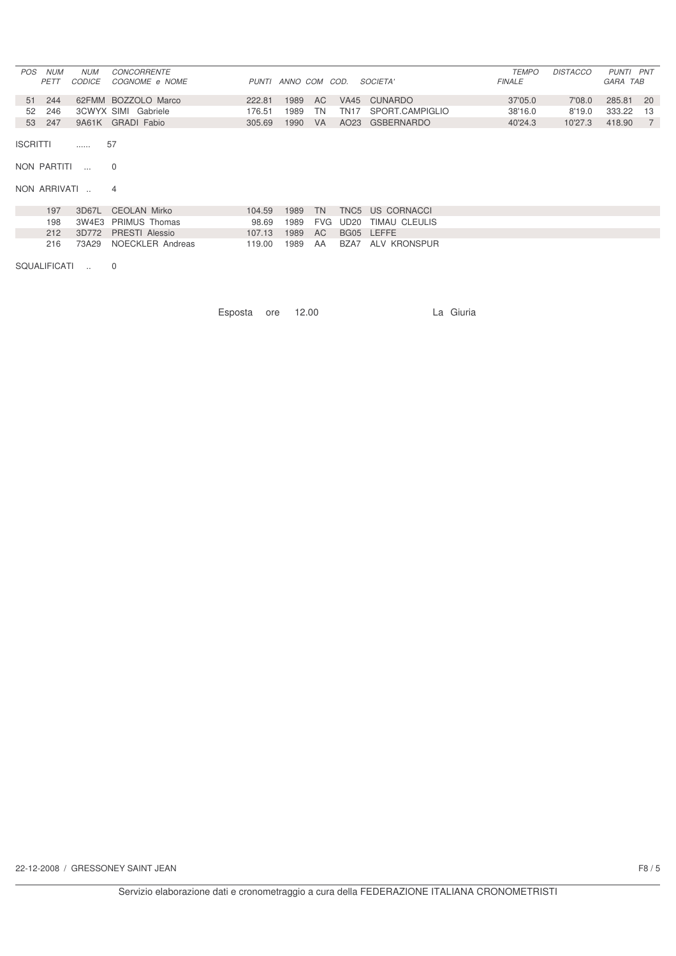| POS | <b>NUM</b><br>PETT | NUM<br><i>CODICE</i> | <b>CONCORRENTE</b><br><i>COGNOME e NOME</i> |        | PUNTI ANNO COM COD. |           |      | <i>SOCIETA'</i> | <b>TEMPO</b><br><b>FINALE</b> | <b>DISTACCO</b> | PUNTI PNT<br>GARA TAB |    |
|-----|--------------------|----------------------|---------------------------------------------|--------|---------------------|-----------|------|-----------------|-------------------------------|-----------------|-----------------------|----|
|     | 51 244             |                      | 62FMM BOZZOLO Marco                         | 222.81 | 1989                | AC.       |      | VA45 CUNARDO    | 37'05.0                       | 7'08.0          | 285.81                | 20 |
| 52  | 246                |                      | 3CWYX SIMI Gabriele                         | 176.51 | 1989                | TN        | TN17 | SPORT.CAMPIGLIO | 38'16.0                       | 8'19.0          | 333.22                | 13 |
| 53  | 247                |                      | 9A61K GRADI Fabio                           | 305.69 | 1990                | <b>VA</b> |      | AO23 GSBERNARDO | 40'24.3                       | 10'27.3         | 418.90                |    |

ISCRITTI ...... 57

NON PARTITI ... 0

NON ARRIVATI .. 4

| 197 | 3D67L CEOLAN Mirko       | 104.59                    |  | 1989 TN TNC5 US CORNACCI    |
|-----|--------------------------|---------------------------|--|-----------------------------|
| 198 | 3W4E3 PRIMUS Thomas      | 98.69                     |  | 1989 FVG UD20 TIMAU CLEULIS |
|     | 212 3D772 PRESTI Alessio | 107.13 1989 AC BG05 LEFFE |  |                             |
| 216 | 73A29 NOECKLER Andreas   | 119.00                    |  | 1989 AA BZA7 ALV KRONSPUR   |

SQUALIFICATI .. 0

Esposta ore 12.00 La Giuria